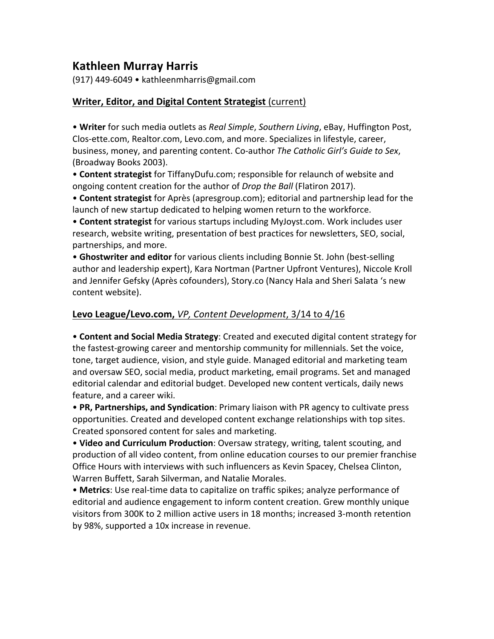# **Kathleen Murray Harris**

(917) 449-6049 • kathleenmharris@gmail.com 

### **Writer, Editor, and Digital Content Strategist (current)**

• Writer for such media outlets as *Real Simple, Southern Living*, eBay, Huffington Post, Clos-ette.com, Realtor.com, Levo.com, and more. Specializes in lifestyle, career, business, money, and parenting content. Co-author The Catholic Girl's Guide to Sex, (Broadway Books 2003).

• **Content strategist** for TiffanyDufu.com; responsible for relaunch of website and ongoing content creation for the author of *Drop the Ball* (Flatiron 2017).

• **Content strategist** for Après (apresgroup.com); editorial and partnership lead for the launch of new startup dedicated to helping women return to the workforce.

• **Content strategist** for various startups including MyJoyst.com. Work includes user research, website writing, presentation of best practices for newsletters, SEO, social, partnerships, and more.

• Ghostwriter and editor for various clients including Bonnie St. John (best-selling author and leadership expert), Kara Nortman (Partner Upfront Ventures), Niccole Kroll and Jennifer Gefsky (Après cofounders), Story.co (Nancy Hala and Sheri Salata 's new content website).

### Levo League/Levo.com, *VP, Content Development*, 3/14 to 4/16

• **Content and Social Media Strategy**: Created and executed digital content strategy for the fastest-growing career and mentorship community for millennials. Set the voice, tone, target audience, vision, and style guide. Managed editorial and marketing team and oversaw SEO, social media, product marketing, email programs. Set and managed editorial calendar and editorial budget. Developed new content verticals, daily news feature, and a career wiki.

• **PR, Partnerships, and Syndication**: Primary liaison with PR agency to cultivate press opportunities. Created and developed content exchange relationships with top sites. Created sponsored content for sales and marketing.

• Video and Curriculum Production: Oversaw strategy, writing, talent scouting, and production of all video content, from online education courses to our premier franchise Office Hours with interviews with such influencers as Kevin Spacey, Chelsea Clinton, Warren Buffett, Sarah Silverman, and Natalie Morales.

• Metrics: Use real-time data to capitalize on traffic spikes; analyze performance of editorial and audience engagement to inform content creation. Grew monthly unique visitors from 300K to 2 million active users in 18 months; increased 3-month retention by 98%, supported a 10x increase in revenue.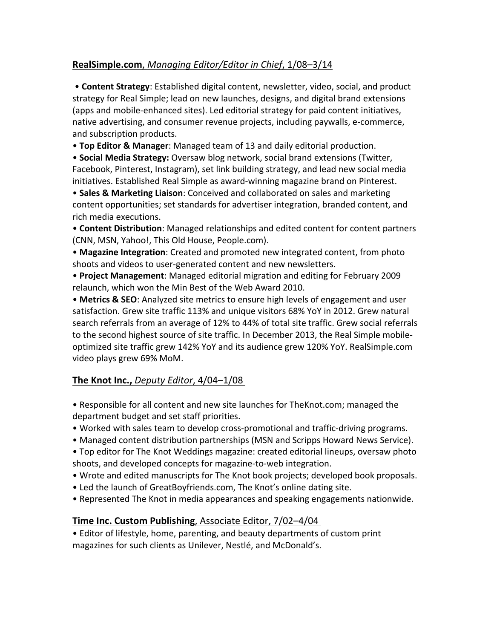# **RealSimple.com**, *Managing Editor/Editor in Chief*, 1/08–3/14

• **Content Strategy**: Established digital content, newsletter, video, social, and product strategy for Real Simple; lead on new launches, designs, and digital brand extensions (apps and mobile-enhanced sites). Led editorial strategy for paid content initiatives, native advertising, and consumer revenue projects, including paywalls, e-commerce, and subscription products.

• **Top Editor & Manager**: Managed team of 13 and daily editorial production.

• **Social Media Strategy:** Oversaw blog network, social brand extensions (Twitter, Facebook, Pinterest, Instagram), set link building strategy, and lead new social media initiatives. Established Real Simple as award-winning magazine brand on Pinterest.

• **Sales & Marketing Liaison**: Conceived and collaborated on sales and marketing content opportunities; set standards for advertiser integration, branded content, and rich media executions.

• Content Distribution: Managed relationships and edited content for content partners (CNN, MSN, Yahoo!, This Old House, People.com).

• Magazine Integration: Created and promoted new integrated content, from photo shoots and videos to user-generated content and new newsletters.

• **Project Management**: Managed editorial migration and editing for February 2009 relaunch, which won the Min Best of the Web Award 2010.

• **Metrics & SEO**: Analyzed site metrics to ensure high levels of engagement and user satisfaction. Grew site traffic 113% and unique visitors 68% YoY in 2012. Grew natural search referrals from an average of 12% to 44% of total site traffic. Grew social referrals to the second highest source of site traffic. In December 2013, the Real Simple mobileoptimized site traffic grew 142% YoY and its audience grew 120% YoY. RealSimple.com video plays grew 69% MoM.

# **The Knot Inc., Deputy Editor, 4/04-1/08**

• Responsible for all content and new site launches for TheKnot.com; managed the department budget and set staff priorities.

- Worked with sales team to develop cross-promotional and traffic-driving programs.
- Managed content distribution partnerships (MSN and Scripps Howard News Service).

• Top editor for The Knot Weddings magazine: created editorial lineups, oversaw photo shoots, and developed concepts for magazine-to-web integration.

- Wrote and edited manuscripts for The Knot book projects; developed book proposals.
- Led the launch of GreatBoyfriends.com, The Knot's online dating site.
- Represented The Knot in media appearances and speaking engagements nationwide.

# **Time Inc. Custom Publishing**, Associate Editor, 7/02–4/04

• Editor of lifestyle, home, parenting, and beauty departments of custom print magazines for such clients as Unilever, Nestlé, and McDonald's.